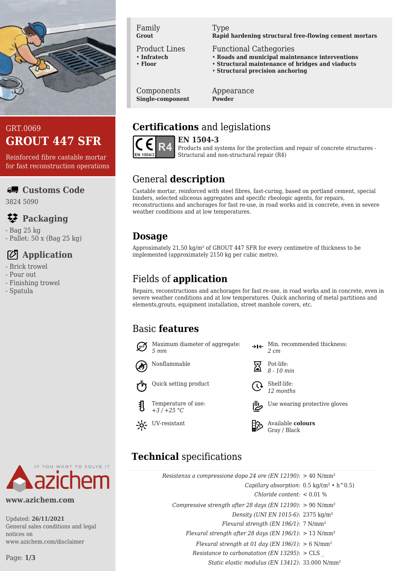

## GRT.0069 **GROUT 447 SFR**

Reinforced fibre castable mortar for fast reconstruction operations

#### **Customs Code**

3824 5090

## **Packaging**

- Bag 25 kg
- Pallet: 50 x (Bag 25 kg)

# **Application**

- Brick trowel
- Pour out
- Finishing trowel
- Spatula



#### Product Lines

- **Infratech**
- **Floor**

#### Type

#### **Rapid hardening structural free-flowing cement mortars**

- Functional Cathegories
- **Roads and municipal maintenance interventions**
- **Structural maintenance of bridges and viaducts**
- **Structural precision anchoring**

Components **Single-component** Appearance **Powder**

# **Certifications** and legislations



**EN 1504-3** Products and systems for the protection and repair of concrete structures - Structural and non-structural repair (R4)

# General **description**

Castable mortar, reinforced with steel fibres, fast-curing, based on portland cement, special binders, selected siliceous aggregates and specific rheologic agents, for repairs, reconstructions and anchorages for fast re-use, in road works and in concrete, even in severe weather conditions and at low temperatures.

## **Dosage**

Approximately 21,50 kg/m² of GROUT 447 SFR for every centimetre of thickness to be implemented (approximately 2150 kg per cubic metre).

# Fields of **application**

Repairs, reconstructions and anchorages for fast re-use, in road works and in concrete, even in severe weather conditions and at low temperatures. Quick anchoring of metal partitions and elements,grouts, equipment installation, street manhole covers, etc.

## Basic **features**

*5 mm*



 $\rightarrow$ I $\leftarrow$  Min. recommended thickness:

*12 months*



Gray / Black

# **Technical** specifications

| Resistenza a compressione dopo 24 ore (EN 12190): $> 40$ N/mm <sup>2</sup> |  |
|----------------------------------------------------------------------------|--|
| Capillary absorption: $0.5 \text{ kg/(m}^2 \cdot \text{h}^2)$              |  |
| Chloride content: $< 0.01$ %                                               |  |
| Compressive strength after 28 days (EN 12190): $> 90$ N/mm <sup>2</sup>    |  |
| Density (UNI EN 1015-6): 2375 kg/m <sup>3</sup>                            |  |
| Flexural strength (EN 196/1): $7 \text{ N/mm}^2$                           |  |
| Flexural strength after 28 days (EN 196/1): $> 13$ N/mm <sup>2</sup>       |  |
| Flexural strength at 01 day (EN 196/1): $> 6$ N/mm <sup>2</sup>            |  |
| Resistance to carbonatation (EN 13295): $> CLS$                            |  |
| Static elastic modulus (EN 13412): 33.000 N/mm <sup>2</sup>                |  |

YOU WANT TO SOLVE IT

#### **www.azichem.com**

Updated: **26/11/2021** General sales conditions and legal notices on www.azichem.com/disclaimer

Page: **1/3**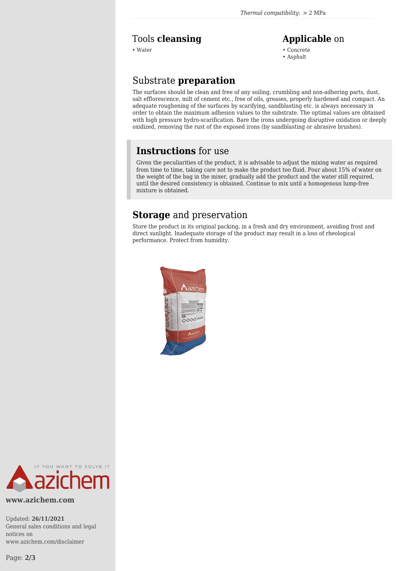#### Tools **cleansing Applicable** on

• Water • Concrete

• Asphalt

### Substrate **preparation**

The surfaces should be clean and free of any soiling, crumbling and non-adhering parts, dust, salt efflorescence, milt of cement etc., free of oils, greases, properly hardened and compact. An adequate roughening of the surfaces by scarifying, sandblasting etc. is always necessary in order to obtain the maximum adhesion values to the substrate. The optimal values are obtained with high pressure hydro-scarification. Bare the irons undergoing disruptive oxidation or deeply oxidized, removing the rust of the exposed irons (by sandblasting or abrasive brushes).

#### **Instructions** for use

Given the peculiarities of the product, it is advisable to adjust the mixing water as required from time to time, taking care not to make the product too fluid. Pour about 15% of water on the weight of the bag in the mixer, gradually add the product and the water still required, until the desired consistency is obtained. Continue to mix until a homogenous lump-free mixture is obtained.

#### **Storage** and preservation

Store the product in its original packing, in a fresh and dry environment, avoiding frost and direct sunlight. Inadequate storage of the product may result in a loss of rheological performance. Protect from humidity.





**www.azichem.com**

Updated: **26/11/2021** General sales conditions and legal notices on www.azichem.com/disclaimer